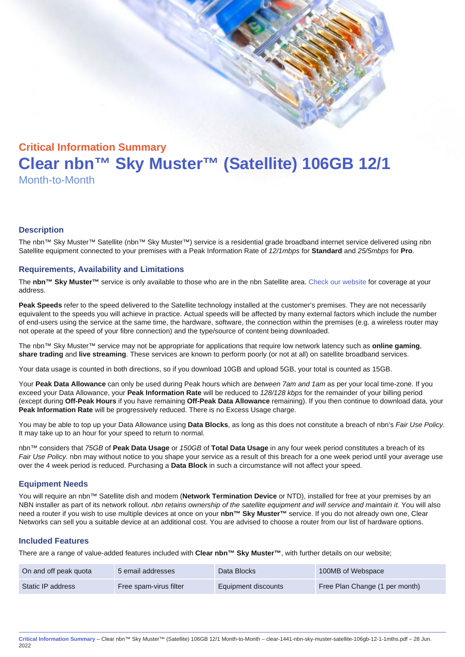# Critical Information Summary Clear nbn™ Sky Muster™ (Satellite) 106GB 12/1 Month-to-Month

#### **Description**

The nbn™ Sky Muster™ Satellite (nbn™ Sky Muster™) service is a residential grade broadband internet service delivered using nbn Satellite equipment connected to your premises with a Peak Information Rate of 12/1mbps for Standard and 25/5mbps for Pro.

#### Requirements, Availability and Limitations

The nbn™ Sky Muster™ service is only available to those who are in the nbn Satellite area. [Check our website](https://www.clear.com.au/corporate-government/nbn-sky-muster/availability-coverage/) for coverage at your address.

Peak Speeds refer to the speed delivered to the Satellite technology installed at the customer's premises. They are not necessarily equivalent to the speeds you will achieve in practice. Actual speeds will be affected by many external factors which include the number of end-users using the service at the same time, the hardware, software, the connection within the premises (e.g. a wireless router may not operate at the speed of your fibre connection) and the type/source of content being downloaded.

The nbn™ Sky Muster™ service may not be appropriate for applications that require low network latency such as online gaming , share trading and live streaming . These services are known to perform poorly (or not at all) on satellite broadband services.

Your data usage is counted in both directions, so if you download 10GB and upload 5GB, your total is counted as 15GB.

Your Peak Data Allowance can only be used during Peak hours which are between 7am and 1am as per your local time-zone. If you exceed your Data Allowance, your Peak Information Rate will be reduced to 128/128 kbps for the remainder of your billing period (except during Off-Peak Hours if you have remaining Off-Peak Data Allowance remaining). If you then continue to download data, your Peak Information Rate will be progressively reduced. There is no Excess Usage charge.

You may be able to top up your Data Allowance using Data Blocks , as long as this does not constitute a breach of nbn's Fair Use Policy. It may take up to an hour for your speed to return to normal.

nbn™ considers that 75GB of Peak Data Usage or 150GB of Total Data Usage in any four week period constitutes a breach of its Fair Use Policy. nbn may without notice to you shape your service as a result of this breach for a one week period until your average use over the 4 week period is reduced. Purchasing a Data Block in such a circumstance will not affect your speed.

#### Equipment Needs

You will require an nbn™ Satellite dish and modem (Network Termination Device or NTD), installed for free at your premises by an NBN installer as part of its network rollout. nbn retains ownership of the satellite equipment and will service and maintain it. You will also need a router if you wish to use multiple devices at once on your nbn™ Sky Muster™ service. If you do not already own one, Clear Networks can sell you a suitable device at an additional cost. You are advised to choose a router from our list of hardware options.

#### Included Features

There are a range of value-added features included with Clear nbn™ Sky Muster™ , with further details on our website;

| On and off peak quota | 5 email addresses      | Data Blocks         | 100MB of Webspace              |
|-----------------------|------------------------|---------------------|--------------------------------|
| Static IP address     | Free spam-virus filter | Equipment discounts | Free Plan Change (1 per month) |